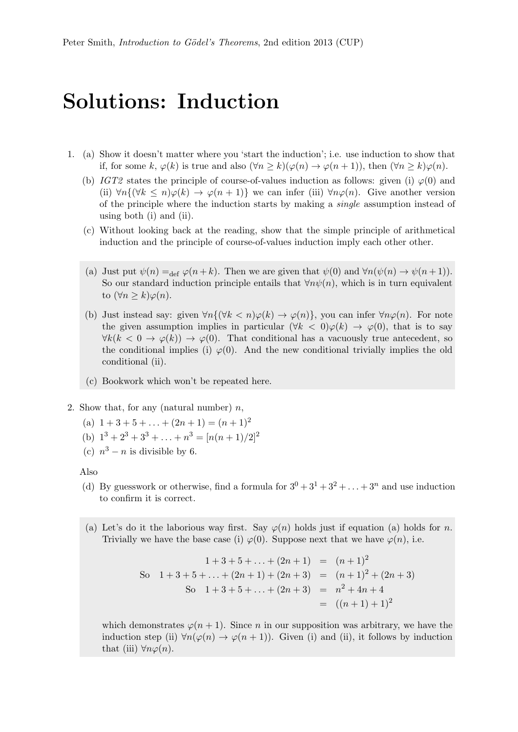## Solutions: Induction

- 1. (a) Show it doesn't matter where you 'start the induction'; i.e. use induction to show that if, for some k,  $\varphi(k)$  is true and also  $(\forall n \ge k)(\varphi(n) \to \varphi(n+1))$ , then  $(\forall n \ge k)\varphi(n)$ .
	- (b) IGT2 states the principle of course-of-values induction as follows: given (i)  $\varphi(0)$  and (ii)  $\forall n \{ (\forall k \leq n) \varphi(k) \to \varphi(n+1) \}$  we can infer (iii)  $\forall n \varphi(n)$ . Give another version of the principle where the induction starts by making a single assumption instead of using both (i) and (ii).
	- (c) Without looking back at the reading, show that the simple principle of arithmetical induction and the principle of course-of-values induction imply each other other.
	- (a) Just put  $\psi(n) =_{\text{def}} \varphi(n+k)$ . Then we are given that  $\psi(0)$  and  $\forall n(\psi(n) \to \psi(n+1))$ . So our standard induction principle entails that  $\forall n\psi(n)$ , which is in turn equivalent to  $(\forall n \geq k) \varphi(n)$ .
	- (b) Just instead say: given  $\forall n \{ (\forall k < n) \varphi(k) \rightarrow \varphi(n) \}$ , you can infer  $\forall n \varphi(n)$ . For note the given assumption implies in particular  $(\forall k < 0)\varphi(k) \rightarrow \varphi(0)$ , that is to say  $\forall k(k < 0 \rightarrow \varphi(k)) \rightarrow \varphi(0)$ . That conditional has a vacuously true antecedent, so the conditional implies (i)  $\varphi(0)$ . And the new conditional trivially implies the old conditional (ii).
	- (c) Bookwork which won't be repeated here.
- 2. Show that, for any (natural number)  $n$ ,
	- (a)  $1 + 3 + 5 + \ldots + (2n + 1) = (n + 1)^2$
	- (b)  $1^3 + 2^3 + 3^3 + \ldots + n^3 = \lfloor n(n+1)/2 \rfloor^2$
	- (c)  $n^3 n$  is divisible by 6.

Also

- (d) By guesswork or otherwise, find a formula for  $3^0 + 3^1 + 3^2 + \ldots + 3^n$  and use induction to confirm it is correct.
- (a) Let's do it the laborious way first. Say  $\varphi(n)$  holds just if equation (a) holds for n. Trivially we have the base case (i)  $\varphi(0)$ . Suppose next that we have  $\varphi(n)$ , i.e.

$$
1+3+5+\ldots+(2n+1) = (n+1)^2
$$
  
So  $1+3+5+\ldots+(2n+1)+(2n+3) = (n+1)^2+(2n+3)$   
So  $1+3+5+\ldots+(2n+3) = n^2+4n+4$   
 $= ((n+1)+1)^2$ 

which demonstrates  $\varphi(n+1)$ . Since n in our supposition was arbitrary, we have the induction step (ii)  $\forall n(\varphi(n) \rightarrow \varphi(n+1))$ . Given (i) and (ii), it follows by induction that (iii)  $\forall n \varphi(n)$ .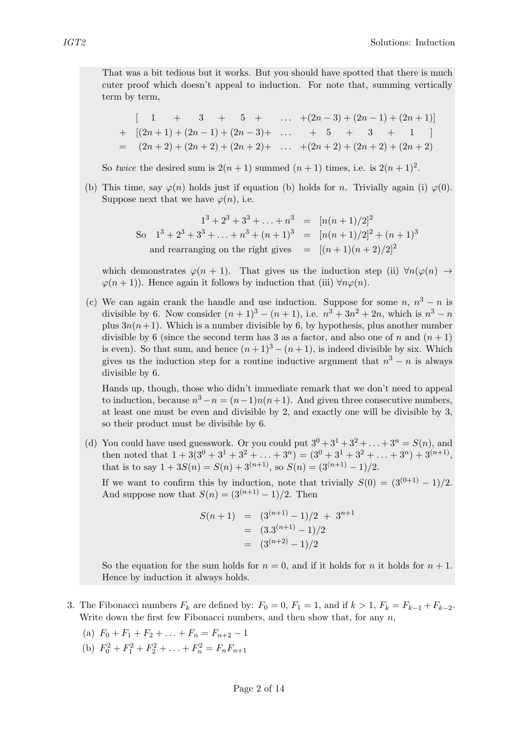That was a bit tedious but it works. But you should have spotted that there is much cuter proof which doesn't appeal to induction. For note that, summing vertically term by term,

$$
\begin{bmatrix}\n1 & + & 3 & + & 5 & + & \dots & +(2n-3) + (2n-1) + (2n+1) \\
+ & [(2n+1) + (2n-1) + (2n-3) + & \dots & + & 5 & + & 3 & + & 1\n\end{bmatrix}
$$
\n
$$
= (2n+2) + (2n+2) + (2n+2) + \dots + (2n+2) + (2n+2) + (2n+2)
$$

So twice the desired sum is  $2(n + 1)$  summed  $(n + 1)$  times, i.e. is  $2(n + 1)^2$ .

(b) This time, say  $\varphi(n)$  holds just if equation (b) holds for n. Trivially again (i)  $\varphi(0)$ . Suppose next that we have  $\varphi(n)$ , i.e.

$$
1^3 + 2^3 + 3^3 + \dots + n^3 = [n(n+1)/2]^2
$$
  
So  $1^3 + 2^3 + 3^3 + \dots + n^3 + (n+1)^3 = [n(n+1)/2]^2 + (n+1)^3$   
and rearranging on the right gives  $= [(n+1)(n+2)/2]^2$ 

which demonstrates  $\varphi(n+1)$ . That gives us the induction step (ii)  $\forall n(\varphi(n) \rightarrow$  $\varphi(n+1)$ ). Hence again it follows by induction that (iii)  $\forall n\varphi(n)$ .

(c) We can again crank the handle and use induction. Suppose for some  $n, n^3 - n$  is divisible by 6. Now consider  $(n + 1)^3 - (n + 1)$ , i.e.  $n^3 + 3n^2 + 2n$ , which is  $n^3 - n$ plus  $3n(n+1)$ . Which is a number divisible by 6, by hypothesis, plus another number divisible by 6 (since the second term has 3 as a factor, and also one of n and  $(n + 1)$ ) is even). So that sum, and hence  $(n+1)^3 - (n+1)$ , is indeed divisible by six. Which gives us the induction step for a routine inductive argument that  $n^3 - n$  is always divisible by 6.

Hands up, though, those who didn't immediate remark that we don't need to appeal to induction, because  $n^3 - n = (n-1)n(n+1)$ . And given three consecutive numbers, at least one must be even and divisible by 2, and exactly one will be divisible by 3, so their product must be divisible by 6.

(d) You could have used guesswork. Or you could put  $3^0 + 3^1 + 3^2 + \ldots + 3^n = S(n)$ , and then noted that  $1 + 3(3^0 + 3^1 + 3^2 + \ldots + 3^n) = (3^0 + 3^1 + 3^2 + \ldots + 3^n) + 3^{(n+1)}$ , that is to say  $1 + 3S(n) = S(n) + 3^{(n+1)}$ , so  $S(n) = (3^{(n+1)} - 1)/2$ .

If we want to confirm this by induction, note that trivially  $S(0) = (3^{(0+1)} - 1)/2$ . And suppose now that  $S(n) = (3^{(n+1)} - 1)/2$ . Then

$$
S(n+1) = (3^{(n+1)} - 1)/2 + 3^{n+1}
$$
  
= (3.3<sup>(n+1)</sup> - 1)/2  
= (3<sup>(n+2)</sup> - 1)/2

So the equation for the sum holds for  $n = 0$ , and if it holds for n it holds for  $n + 1$ . Hence by induction it always holds.

- 3. The Fibonacci numbers  $F_k$  are defined by:  $F_0 = 0$ ,  $F_1 = 1$ , and if  $k > 1$ ,  $F_k = F_{k-1} + F_{k-2}$ . Write down the first few Fibonacci numbers, and then show that, for any  $n$ ,
	- (a)  $F_0 + F_1 + F_2 + \ldots + F_n = F_{n+2} 1$
	- (b)  $F_0^2 + F_1^2 + F_2^2 + \ldots + F_n^2 = F_n F_{n+1}$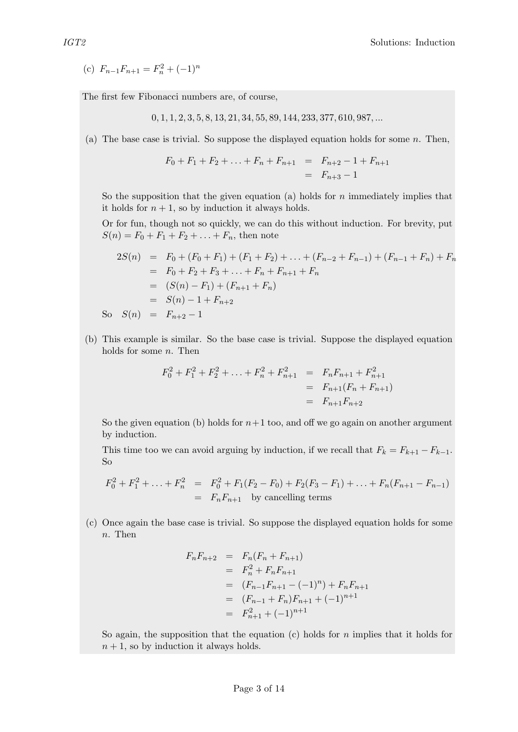(c)  $F_{n-1}F_{n+1} = F_n^2 + (-1)^n$ 

The first few Fibonacci numbers are, of course,

 $0, 1, 1, 2, 3, 5, 8, 13, 21, 34, 55, 89, 144, 233, 377, 610, 987, \ldots$ 

(a) The base case is trivial. So suppose the displayed equation holds for some  $n$ . Then,

$$
F_0 + F_1 + F_2 + \ldots + F_n + F_{n+1} = F_{n+2} - 1 + F_{n+1}
$$
  
=  $F_{n+3} - 1$ 

So the supposition that the given equation (a) holds for  $n$  immediately implies that it holds for  $n + 1$ , so by induction it always holds.

Or for fun, though not so quickly, we can do this without induction. For brevity, put  $S(n) = F_0 + F_1 + F_2 + \ldots + F_n$ , then note

$$
2S(n) = F_0 + (F_0 + F_1) + (F_1 + F_2) + \dots + (F_{n-2} + F_{n-1}) + (F_{n-1} + F_n) + F_n
$$
  
=  $F_0 + F_2 + F_3 + \dots + F_n + F_{n+1} + F_n$   
=  $(S(n) - F_1) + (F_{n+1} + F_n)$   
=  $S(n) - 1 + F_{n+2}$   
So  $S(n) = F_{n+2} - 1$ 

(b) This example is similar. So the base case is trivial. Suppose the displayed equation holds for some  $n$ . Then

$$
F_0^2 + F_1^2 + F_2^2 + \dots + F_n^2 + F_{n+1}^2 = F_n F_{n+1} + F_{n+1}^2
$$
  
=  $F_{n+1}(F_n + F_{n+1})$   
=  $F_{n+1} F_{n+2}$ 

So the given equation (b) holds for  $n+1$  too, and off we go again on another argument by induction.

This time too we can avoid arguing by induction, if we recall that  $F_k = F_{k+1} - F_{k-1}$ . So

$$
F_0^2 + F_1^2 + \ldots + F_n^2 = F_0^2 + F_1(F_2 - F_0) + F_2(F_3 - F_1) + \ldots + F_n(F_{n+1} - F_{n-1})
$$
  
=  $F_n F_{n+1}$  by cancelling terms

(c) Once again the base case is trivial. So suppose the displayed equation holds for some n. Then

$$
F_n F_{n+2} = F_n (F_n + F_{n+1})
$$
  
=  $F_n^2 + F_n F_{n+1}$   
=  $(F_{n-1} F_{n+1} - (-1)^n) + F_n F_{n+1}$   
=  $(F_{n-1} + F_n) F_{n+1} + (-1)^{n+1}$   
=  $F_{n+1}^2 + (-1)^{n+1}$ 

So again, the supposition that the equation  $(c)$  holds for n implies that it holds for  $n + 1$ , so by induction it always holds.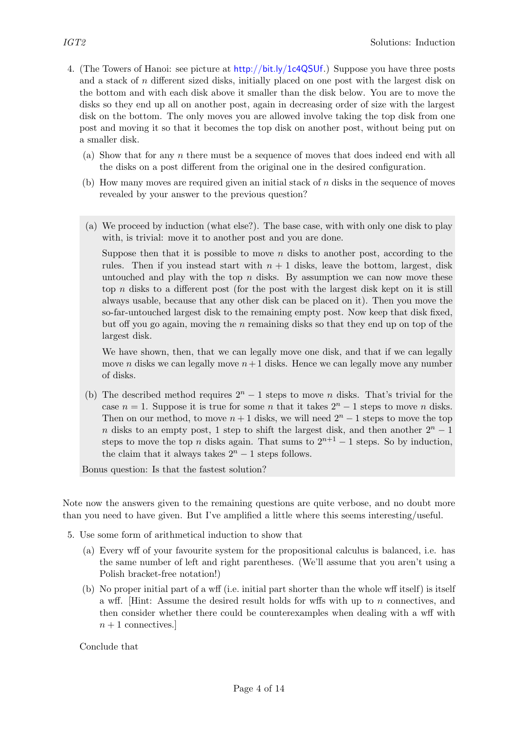- 4. (The Towers of Hanoi: see picture at <http://bit.ly/1c4QSUf>.) Suppose you have three posts and a stack of  $n$  different sized disks, initially placed on one post with the largest disk on the bottom and with each disk above it smaller than the disk below. You are to move the disks so they end up all on another post, again in decreasing order of size with the largest disk on the bottom. The only moves you are allowed involve taking the top disk from one post and moving it so that it becomes the top disk on another post, without being put on a smaller disk.
	- (a) Show that for any  $n$  there must be a sequence of moves that does indeed end with all the disks on a post different from the original one in the desired configuration.
	- (b) How many moves are required given an initial stack of n disks in the sequence of moves revealed by your answer to the previous question?
	- (a) We proceed by induction (what else?). The base case, with with only one disk to play with, is trivial: move it to another post and you are done.

Suppose then that it is possible to move  $n$  disks to another post, according to the rules. Then if you instead start with  $n + 1$  disks, leave the bottom, largest, disk untouched and play with the top  $n$  disks. By assumption we can now move these top  $n$  disks to a different post (for the post with the largest disk kept on it is still always usable, because that any other disk can be placed on it). Then you move the so-far-untouched largest disk to the remaining empty post. Now keep that disk fixed, but off you go again, moving the n remaining disks so that they end up on top of the largest disk.

We have shown, then, that we can legally move one disk, and that if we can legally move *n* disks we can legally move  $n+1$  disks. Hence we can legally move any number of disks.

(b) The described method requires  $2^n - 1$  steps to move n disks. That's trivial for the case  $n = 1$ . Suppose it is true for some n that it takes  $2<sup>n</sup> - 1$  steps to move n disks. Then on our method, to move  $n + 1$  disks, we will need  $2<sup>n</sup> - 1$  steps to move the top n disks to an empty post, 1 step to shift the largest disk, and then another  $2<sup>n</sup> - 1$ steps to move the top n disks again. That sums to  $2^{n+1} - 1$  steps. So by induction, the claim that it always takes  $2<sup>n</sup> - 1$  steps follows.

Bonus question: Is that the fastest solution?

Note now the answers given to the remaining questions are quite verbose, and no doubt more than you need to have given. But I've amplified a little where this seems interesting/useful.

- 5. Use some form of arithmetical induction to show that
	- (a) Every wff of your favourite system for the propositional calculus is balanced, i.e. has the same number of left and right parentheses. (We'll assume that you aren't using a Polish bracket-free notation!)
	- (b) No proper initial part of a wff (i.e. initial part shorter than the whole wff itself) is itself a wff. [Hint: Assume the desired result holds for wffs with up to  $n$  connectives, and then consider whether there could be counterexamples when dealing with a wff with  $n+1$  connectives.

Conclude that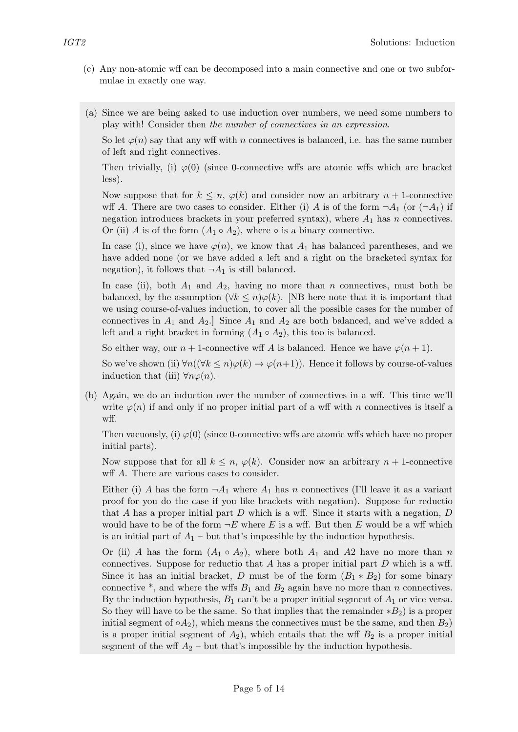- (c) Any non-atomic wff can be decomposed into a main connective and one or two subformulae in exactly one way.
- (a) Since we are being asked to use induction over numbers, we need some numbers to play with! Consider then the number of connectives in an expression.

So let  $\varphi(n)$  say that any wff with n connectives is balanced, i.e. has the same number of left and right connectives.

Then trivially, (i)  $\varphi(0)$  (since 0-connective wffs are atomic wffs which are bracket less).

Now suppose that for  $k \leq n$ ,  $\varphi(k)$  and consider now an arbitrary  $n + 1$ -connective wff A. There are two cases to consider. Either (i) A is of the form  $\neg A_1$  (or  $(\neg A_1)$  if negation introduces brackets in your preferred syntax), where  $A_1$  has n connectives. Or (ii) A is of the form  $(A_1 \circ A_2)$ , where  $\circ$  is a binary connective.

In case (i), since we have  $\varphi(n)$ , we know that  $A_1$  has balanced parentheses, and we have added none (or we have added a left and a right on the bracketed syntax for negation), it follows that  $\neg A_1$  is still balanced.

In case (ii), both  $A_1$  and  $A_2$ , having no more than n connectives, must both be balanced, by the assumption ( $\forall k \leq n$ ) $\varphi(k)$ . [NB here note that it is important that we using course-of-values induction, to cover all the possible cases for the number of connectives in  $A_1$  and  $A_2$ . Since  $A_1$  and  $A_2$  are both balanced, and we've added a left and a right bracket in forming  $(A_1 \circ A_2)$ , this too is balanced.

So either way, our  $n+1$ -connective wff A is balanced. Hence we have  $\varphi(n+1)$ .

So we've shown (ii)  $\forall n((\forall k \leq n)\varphi(k) \rightarrow \varphi(n+1))$ . Hence it follows by course-of-values induction that (iii)  $\forall n \varphi(n)$ .

(b) Again, we do an induction over the number of connectives in a wff. This time we'll write  $\varphi(n)$  if and only if no proper initial part of a wff with n connectives is itself a wff.

Then vacuously, (i)  $\varphi(0)$  (since 0-connective wffs are atomic wffs which have no proper initial parts).

Now suppose that for all  $k \leq n$ ,  $\varphi(k)$ . Consider now an arbitrary  $n + 1$ -connective wff A. There are various cases to consider.

Either (i) A has the form  $\neg A_1$  where  $A_1$  has n connectives (I'll leave it as a variant proof for you do the case if you like brackets with negation). Suppose for reductio that A has a proper initial part  $D$  which is a wff. Since it starts with a negation,  $D$ would have to be of the form  $\neg E$  where E is a wff. But then E would be a wff which is an initial part of  $A_1$  – but that's impossible by the induction hypothesis.

Or (ii) A has the form  $(A_1 \circ A_2)$ , where both  $A_1$  and  $A_2$  have no more than n connectives. Suppose for reductio that  $A$  has a proper initial part  $D$  which is a wff. Since it has an initial bracket, D must be of the form  $(B_1 * B_2)$  for some binary connective  $*$ , and where the wffs  $B_1$  and  $B_2$  again have no more than n connectives. By the induction hypothesis,  $B_1$  can't be a proper initial segment of  $A_1$  or vice versa. So they will have to be the same. So that implies that the remainder  $*B_2$ ) is a proper initial segment of  $\circ A_2$ ), which means the connectives must be the same, and then  $B_2$ ) is a proper initial segment of  $A_2$ ), which entails that the wff  $B_2$  is a proper initial segment of the wff  $A_2$  – but that's impossible by the induction hypothesis.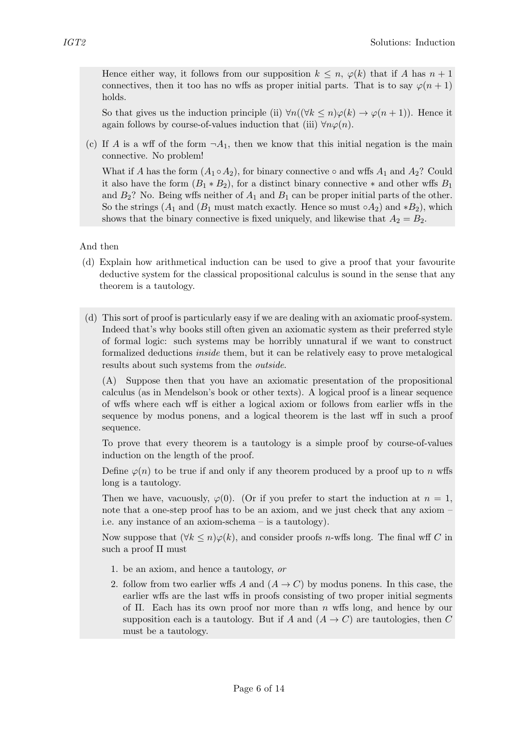Hence either way, it follows from our supposition  $k \leq n$ ,  $\varphi(k)$  that if A has  $n+1$ connectives, then it too has no wffs as proper initial parts. That is to say  $\varphi(n+1)$ holds.

So that gives us the induction principle (ii)  $\forall n((\forall k \leq n)\varphi(k) \rightarrow \varphi(n+1)).$  Hence it again follows by course-of-values induction that (iii)  $\forall n \varphi(n)$ .

(c) If A is a wff of the form  $\neg A_1$ , then we know that this initial negation is the main connective. No problem!

What if A has the form  $(A_1 \circ A_2)$ , for binary connective  $\circ$  and wffs  $A_1$  and  $A_2$ ? Could it also have the form  $(B_1 * B_2)$ , for a distinct binary connective  $*$  and other wffs  $B_1$ and  $B_2$ ? No. Being wffs neither of  $A_1$  and  $B_1$  can be proper initial parts of the other. So the strings  $(A_1 \text{ and } (B_1 \text{ must match exactly. Hence so must  $\circ A_2$ ) and  $*B_2$ ), which$ shows that the binary connective is fixed uniquely, and likewise that  $A_2 = B_2$ .

And then

- (d) Explain how arithmetical induction can be used to give a proof that your favourite deductive system for the classical propositional calculus is sound in the sense that any theorem is a tautology.
- (d) This sort of proof is particularly easy if we are dealing with an axiomatic proof-system. Indeed that's why books still often given an axiomatic system as their preferred style of formal logic: such systems may be horribly unnatural if we want to construct formalized deductions inside them, but it can be relatively easy to prove metalogical results about such systems from the outside.

(A) Suppose then that you have an axiomatic presentation of the propositional calculus (as in Mendelson's book or other texts). A logical proof is a linear sequence of wffs where each wff is either a logical axiom or follows from earlier wffs in the sequence by modus ponens, and a logical theorem is the last wff in such a proof sequence.

To prove that every theorem is a tautology is a simple proof by course-of-values induction on the length of the proof.

Define  $\varphi(n)$  to be true if and only if any theorem produced by a proof up to n wffs long is a tautology.

Then we have, vacuously,  $\varphi(0)$ . (Or if you prefer to start the induction at  $n = 1$ , note that a one-step proof has to be an axiom, and we just check that any axiom – i.e. any instance of an axiom-schema – is a tautology).

Now suppose that  $(\forall k \leq n) \varphi(k)$ , and consider proofs *n*-wffs long. The final wff C in such a proof Π must

- 1. be an axiom, and hence a tautology, or
- 2. follow from two earlier wffs A and  $(A \rightarrow C)$  by modus ponens. In this case, the earlier wffs are the last wffs in proofs consisting of two proper initial segments of  $\Pi$ . Each has its own proof nor more than n wffs long, and hence by our supposition each is a tautology. But if A and  $(A \rightarrow C)$  are tautologies, then C must be a tautology.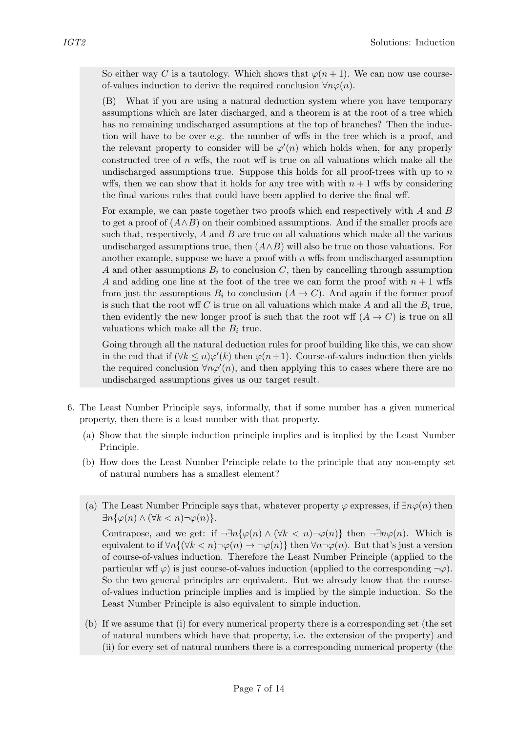So either way C is a tautology. Which shows that  $\varphi(n+1)$ . We can now use courseof-values induction to derive the required conclusion  $\forall n\varphi(n)$ .

(B) What if you are using a natural deduction system where you have temporary assumptions which are later discharged, and a theorem is at the root of a tree which has no remaining undischarged assumptions at the top of branches? Then the induction will have to be over e.g. the number of wffs in the tree which is a proof, and the relevant property to consider will be  $\varphi'(n)$  which holds when, for any properly constructed tree of  $n$  wffs, the root wff is true on all valuations which make all the undischarged assumptions true. Suppose this holds for all proof-trees with up to  $n$ wffs, then we can show that it holds for any tree with with  $n + 1$  wffs by considering the final various rules that could have been applied to derive the final wff.

For example, we can paste together two proofs which end respectively with  $A$  and  $B$ to get a proof of  $(A \wedge B)$  on their combined assumptions. And if the smaller proofs are such that, respectively,  $A$  and  $B$  are true on all valuations which make all the various undischarged assumptions true, then  $(A \wedge B)$  will also be true on those valuations. For another example, suppose we have a proof with  $n$  wffs from undischarged assumption A and other assumptions  $B_i$  to conclusion C, then by cancelling through assumption A and adding one line at the foot of the tree we can form the proof with  $n + 1$  wffs from just the assumptions  $B_i$  to conclusion  $(A \to C)$ . And again if the former proof is such that the root wff C is true on all valuations which make A and all the  $B_i$  true, then evidently the new longer proof is such that the root wff  $(A \rightarrow C)$  is true on all valuations which make all the  $B_i$  true.

Going through all the natural deduction rules for proof building like this, we can show in the end that if  $(\forall k \leq n)\varphi'(k)$  then  $\varphi(n+1)$ . Course-of-values induction then yields the required conclusion  $\forall n\varphi'(n)$ , and then applying this to cases where there are no undischarged assumptions gives us our target result.

- 6. The Least Number Principle says, informally, that if some number has a given numerical property, then there is a least number with that property.
	- (a) Show that the simple induction principle implies and is implied by the Least Number Principle.
	- (b) How does the Least Number Principle relate to the principle that any non-empty set of natural numbers has a smallest element?
	- (a) The Least Number Principle says that, whatever property  $\varphi$  expresses, if  $\exists n \varphi(n)$  then  $\exists n \{ \varphi(n) \wedge (\forall k < n) \neg \varphi(n) \}.$

Contrapose, and we get: if  $\neg \exists n \{\varphi(n) \land (\forall k < n) \neg \varphi(n)\}\$  then  $\neg \exists n \varphi(n)$ . Which is equivalent to if  $\forall n \{ (\forall k < n) \neg \varphi(n) \rightarrow \neg \varphi(n) \}$  then  $\forall n \neg \varphi(n)$ . But that's just a version of course-of-values induction. Therefore the Least Number Principle (applied to the particular wff  $\varphi$ ) is just course-of-values induction (applied to the corresponding  $\neg \varphi$ ). So the two general principles are equivalent. But we already know that the courseof-values induction principle implies and is implied by the simple induction. So the Least Number Principle is also equivalent to simple induction.

(b) If we assume that (i) for every numerical property there is a corresponding set (the set of natural numbers which have that property, i.e. the extension of the property) and (ii) for every set of natural numbers there is a corresponding numerical property (the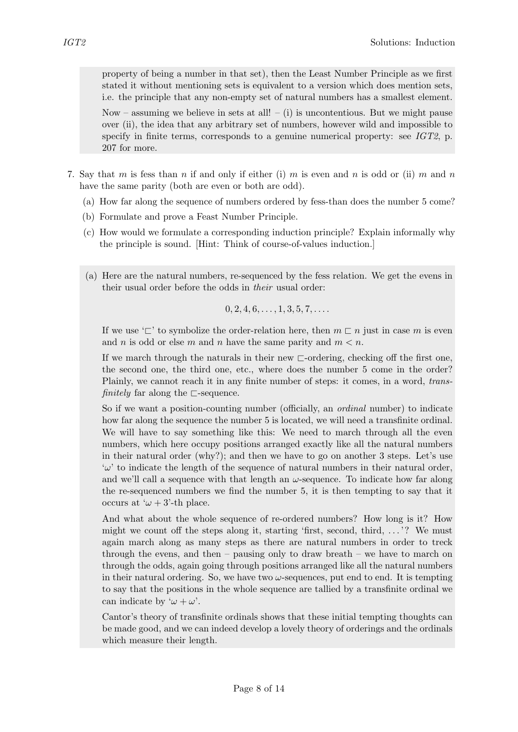property of being a number in that set), then the Least Number Principle as we first stated it without mentioning sets is equivalent to a version which does mention sets, i.e. the principle that any non-empty set of natural numbers has a smallest element.

Now – assuming we believe in sets at all! – (i) is uncontentious. But we might pause over (ii), the idea that any arbitrary set of numbers, however wild and impossible to specify in finite terms, corresponds to a genuine numerical property: see  $IGT2$ , p. 207 for more.

- 7. Say that m is fess than n if and only if either (i) m is even and n is odd or (ii) m and n have the same parity (both are even or both are odd).
	- (a) How far along the sequence of numbers ordered by fess-than does the number 5 come?
	- (b) Formulate and prove a Feast Number Principle.
	- (c) How would we formulate a corresponding induction principle? Explain informally why the principle is sound. [Hint: Think of course-of-values induction.]
	- (a) Here are the natural numbers, re-sequenced by the fess relation. We get the evens in their usual order before the odds in their usual order:

$$
0, 2, 4, 6, \ldots, 1, 3, 5, 7, \ldots
$$

If we use ' $\Box'$  to symbolize the order-relation here, then  $m \Box n$  just in case m is even and n is odd or else m and n have the same parity and  $m < n$ .

If we march through the naturals in their new  $\sqsubset$ -ordering, checking off the first one, the second one, the third one, etc., where does the number 5 come in the order? Plainly, we cannot reach it in any finite number of steps: it comes, in a word, transfinitely far along the  $\sqsubset$ -sequence.

So if we want a position-counting number (officially, an ordinal number) to indicate how far along the sequence the number 5 is located, we will need a transfinite ordinal. We will have to say something like this: We need to march through all the even numbers, which here occupy positions arranged exactly like all the natural numbers in their natural order (why?); and then we have to go on another 3 steps. Let's use  $\omega'$  to indicate the length of the sequence of natural numbers in their natural order, and we'll call a sequence with that length an  $\omega$ -sequence. To indicate how far along the re-sequenced numbers we find the number 5, it is then tempting to say that it occurs at ' $\omega + 3'$ -th place.

And what about the whole sequence of re-ordered numbers? How long is it? How might we count off the steps along it, starting 'first, second, third,  $\dots$ '? We must again march along as many steps as there are natural numbers in order to treck through the evens, and then – pausing only to draw breath – we have to march on through the odds, again going through positions arranged like all the natural numbers in their natural ordering. So, we have two  $\omega$ -sequences, put end to end. It is tempting to say that the positions in the whole sequence are tallied by a transfinite ordinal we can indicate by ' $\omega + \omega'$ .

Cantor's theory of transfinite ordinals shows that these initial tempting thoughts can be made good, and we can indeed develop a lovely theory of orderings and the ordinals which measure their length.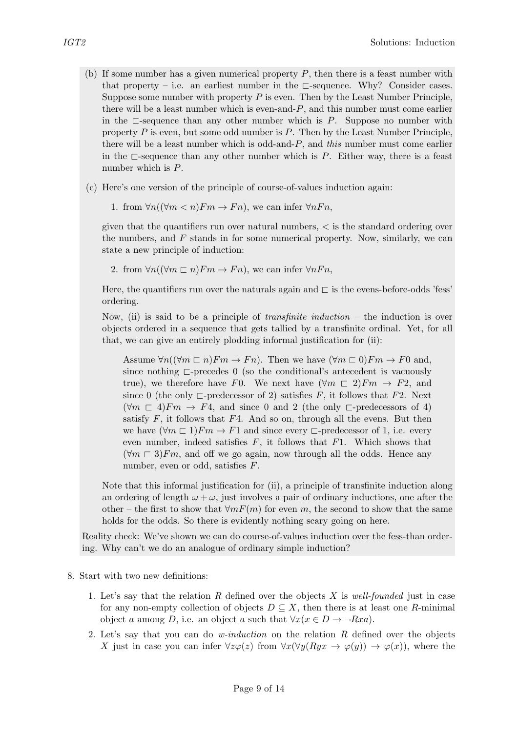- (b) If some number has a given numerical property  $P$ , then there is a feast number with that property – i.e. an earliest number in the  $\Box$ -sequence. Why? Consider cases. Suppose some number with property  $P$  is even. Then by the Least Number Principle, there will be a least number which is even-and-P, and this number must come earlier in the  $\sqsubset$ -sequence than any other number which is P. Suppose no number with property  $P$  is even, but some odd number is  $P$ . Then by the Least Number Principle, there will be a least number which is odd-and-P, and this number must come earlier in the  $\Box$ -sequence than any other number which is P. Either way, there is a feast number which is P.
- (c) Here's one version of the principle of course-of-values induction again:

1. from  $\forall n((\forall m < n)Fm \rightarrow Fn)$ , we can infer  $\forall nFn$ ,

given that the quantifiers run over natural numbers,  $\lt$  is the standard ordering over the numbers, and  $F$  stands in for some numerical property. Now, similarly, we can state a new principle of induction:

2. from  $\forall n((\forall m\sqsubset n)Fm \rightarrow Fn)$ , we can infer  $\forall nFn$ ,

Here, the quantifiers run over the naturals again and  $\sqsubset$  is the evens-before-odds 'fess' ordering.

Now, (ii) is said to be a principle of *transfinite induction* – the induction is over objects ordered in a sequence that gets tallied by a transfinite ordinal. Yet, for all that, we can give an entirely plodding informal justification for (ii):

Assume  $\forall n((\forall m \sqsubset n)Fm \rightarrow Fn)$ . Then we have  $(\forall m \sqsubset 0)Fm \rightarrow F0$  and, since nothing  $\Box$ -precedes 0 (so the conditional's antecedent is vacuously true), we therefore have F0. We next have  $(\forall m \in 2)$ Fm  $\rightarrow$  F2, and since 0 (the only  $\Box$ -predecessor of 2) satisfies F, it follows that F2. Next  $(\forall m \sqsubset 4) Fm \rightarrow F4$ , and since 0 and 2 (the only  $\sqsubset$ -predecessors of 4) satisfy  $F$ , it follows that  $F4$ . And so on, through all the evens. But then we have  $(\forall m \sqsubset 1)$ Fm  $\rightarrow$  F1 and since every  $\sqsubset$ -predecessor of 1, i.e. every even number, indeed satisfies  $F$ , it follows that  $F1$ . Which shows that  $(\forall m \in \mathcal{B})$  Fm, and off we go again, now through all the odds. Hence any number, even or odd, satisfies F.

Note that this informal justification for (ii), a principle of transfinite induction along an ordering of length  $\omega + \omega$ , just involves a pair of ordinary inductions, one after the other – the first to show that  $\forall m F(m)$  for even m, the second to show that the same holds for the odds. So there is evidently nothing scary going on here.

Reality check: We've shown we can do course-of-values induction over the fess-than ordering. Why can't we do an analogue of ordinary simple induction?

- 8. Start with two new definitions:
	- 1. Let's say that the relation  $R$  defined over the objects  $X$  is well-founded just in case for any non-empty collection of objects  $D \subseteq X$ , then there is at least one R-minimal object a among D, i.e. an object a such that  $\forall x (x \in D \rightarrow \neg Rxa)$ .
	- 2. Let's say that you can do *w-induction* on the relation  $R$  defined over the objects X just in case you can infer  $\forall z\varphi(z)$  from  $\forall x(\forall y(Ryx \rightarrow \varphi(y)) \rightarrow \varphi(x))$ , where the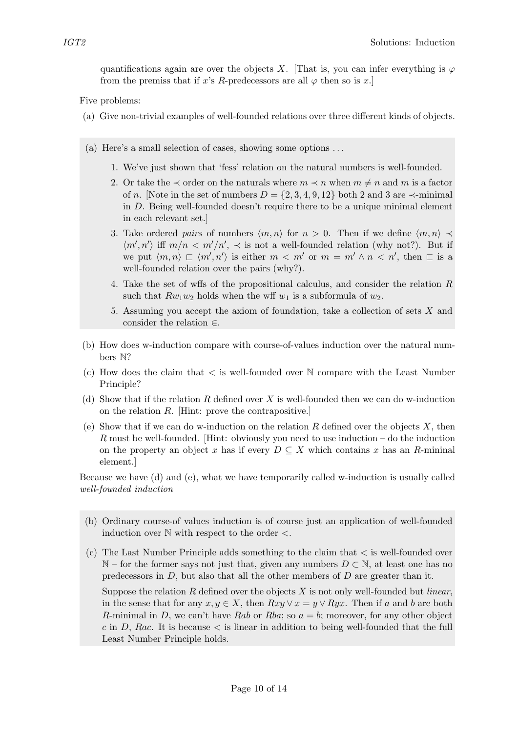quantifications again are over the objects X. [That is, you can infer everything is  $\varphi$ from the premiss that if x's R-predecessors are all  $\varphi$  then so is x.

Five problems:

- (a) Give non-trivial examples of well-founded relations over three different kinds of objects.
- (a) Here's a small selection of cases, showing some options . . .
	- 1. We've just shown that 'fess' relation on the natural numbers is well-founded.
	- 2. Or take the  $\prec$  order on the naturals where  $m \prec n$  when  $m \neq n$  and m is a factor of n. [Note in the set of numbers  $D = \{2, 3, 4, 9, 12\}$  both 2 and 3 are  $\prec$ -minimal in D. Being well-founded doesn't require there to be a unique minimal element in each relevant set.]
	- 3. Take ordered pairs of numbers  $\langle m, n \rangle$  for  $n > 0$ . Then if we define  $\langle m, n \rangle \prec$  $\langle m', n' \rangle$  iff  $m/n < m'/n'$ ,  $\prec$  is not a well-founded relation (why not?). But if we put  $\langle m, n \rangle \sqsubset \langle m', n' \rangle$  is either  $m < m'$  or  $m = m' \wedge n < n'$ , then  $\square$  is a well-founded relation over the pairs (why?).
	- 4. Take the set of wffs of the propositional calculus, and consider the relation R such that  $Rw_1w_2$  holds when the wff  $w_1$  is a subformula of  $w_2$ .
	- 5. Assuming you accept the axiom of foundation, take a collection of sets X and consider the relation  $\in$ .
- (b) How does w-induction compare with course-of-values induction over the natural numbers N?
- (c) How does the claim that  $\lt$  is well-founded over  $\mathbb N$  compare with the Least Number Principle?
- (d) Show that if the relation R defined over X is well-founded then we can do w-induction on the relation R. [Hint: prove the contrapositive.]
- (e) Show that if we can do w-induction on the relation R defined over the objects X, then R must be well-founded. [Hint: obviously you need to use induction – do the induction on the property an object x has if every  $D \subseteq X$  which contains x has an R-mininal element.]

Because we have (d) and (e), what we have temporarily called w-induction is usually called well-founded induction

- (b) Ordinary course-of values induction is of course just an application of well-founded induction over  $\mathbb N$  with respect to the order  $\lt$ .
- $(c)$  The Last Number Principle adds something to the claim that  $\lt$  is well-founded over  $\mathbb{N}$  – for the former says not just that, given any numbers  $D \subset \mathbb{N}$ , at least one has no predecessors in  $D$ , but also that all the other members of  $D$  are greater than it.

Suppose the relation R defined over the objects X is not only well-founded but *linear*, in the sense that for any  $x, y \in X$ , then  $Rxy \vee x = y \vee Ryx$ . Then if a and b are both R-minimal in D, we can't have Rab or Rba; so  $a = b$ ; moreover, for any other object c in D, Rac. It is because  $\lt$  is linear in addition to being well-founded that the full Least Number Principle holds.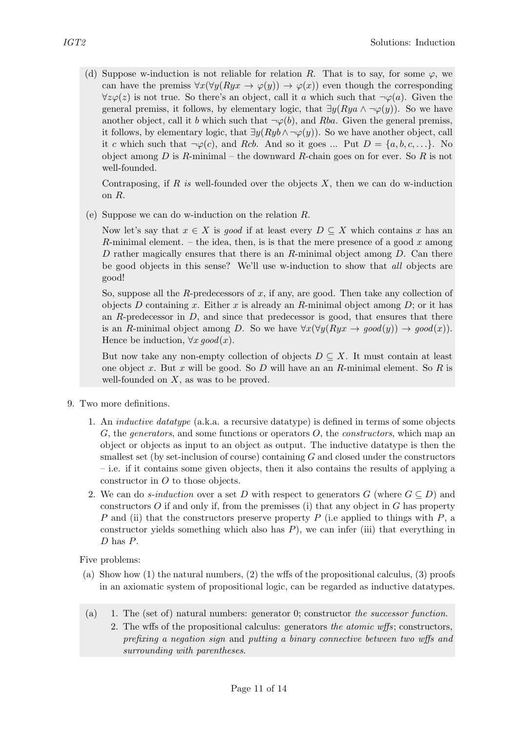(d) Suppose w-induction is not reliable for relation R. That is to say, for some  $\varphi$ , we can have the premiss  $\forall x(\forall y(Ryx \rightarrow \varphi(y)) \rightarrow \varphi(x))$  even though the corresponding  $\forall z \varphi(z)$  is not true. So there's an object, call it a which such that  $\neg \varphi(a)$ . Given the general premiss, it follows, by elementary logic, that  $\exists y (Rya \land \neg \varphi(y))$ . So we have another object, call it b which such that  $\neg \varphi(b)$ , and Rba. Given the general premiss, it follows, by elementary logic, that  $\exists y(Ryb \land \neg \varphi(y))$ . So we have another object, call it c which such that  $\neg \varphi(c)$ , and Rcb. And so it goes ... Put  $D = \{a, b, c, \ldots\}$ . No object among  $D$  is  $R$ -minimal – the downward  $R$ -chain goes on for ever. So  $R$  is not well-founded.

Contraposing, if  $R$  is well-founded over the objects  $X$ , then we can do w-induction on R.

(e) Suppose we can do w-induction on the relation R.

Now let's say that  $x \in X$  is good if at least every  $D \subseteq X$  which contains x has an R-minimal element. – the idea, then, is is that the mere presence of a good x among D rather magically ensures that there is an  $R$ -minimal object among  $D$ . Can there be good objects in this sense? We'll use w-induction to show that all objects are good!

So, suppose all the R-predecessors of  $x$ , if any, are good. Then take any collection of objects D containing x. Either x is already an R-minimal object among  $D$ ; or it has an  $R$ -predecessor in  $D$ , and since that predecessor is good, that ensures that there is an R-minimal object among D. So we have  $\forall x (\forall y (Rux \rightarrow good(y)) \rightarrow good(x)).$ Hence be induction,  $\forall x \text{ good}(x)$ .

But now take any non-empty collection of objects  $D \subseteq X$ . It must contain at least one object x. But x will be good. So  $D$  will have an an R-minimal element. So  $R$  is well-founded on  $X$ , as was to be proved.

- 9. Two more definitions.
	- 1. An inductive datatype (a.k.a. a recursive datatype) is defined in terms of some objects G, the generators, and some functions or operators  $O$ , the constructors, which map an object or objects as input to an object as output. The inductive datatype is then the smallest set (by set-inclusion of course) containing G and closed under the constructors – i.e. if it contains some given objects, then it also contains the results of applying a constructor in O to those objects.
	- 2. We can do *s-induction* over a set D with respect to generators G (where  $G \subseteq D$ ) and constructors  $O$  if and only if, from the premisses (i) that any object in  $G$  has property P and (ii) that the constructors preserve property P (i.e applied to things with  $P$ , a constructor yields something which also has  $P$ ), we can infer (iii) that everything in D has P.

Five problems:

- (a) Show how (1) the natural numbers, (2) the wffs of the propositional calculus, (3) proofs in an axiomatic system of propositional logic, can be regarded as inductive datatypes.
- (a) 1. The (set of) natural numbers: generator 0; constructor the successor function.
	- 2. The wffs of the propositional calculus: generators the atomic wffs; constructors, prefixing a negation sign and putting a binary connective between two wffs and surrounding with parentheses.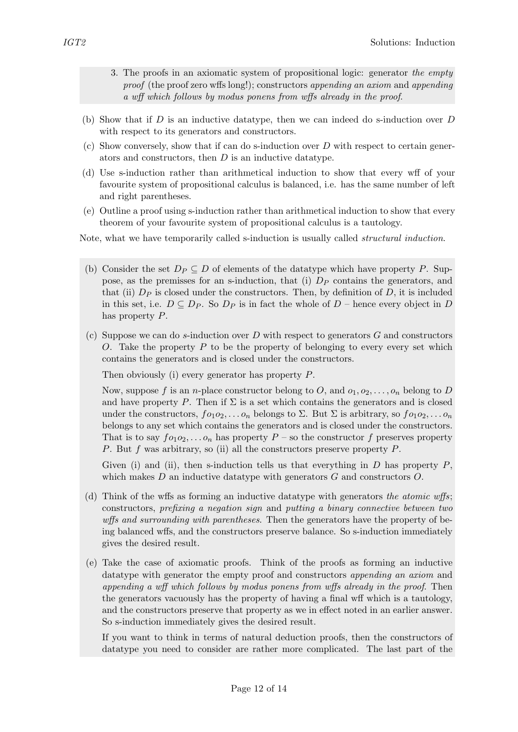- 3. The proofs in an axiomatic system of propositional logic: generator the empty proof (the proof zero wffs long!); constructors appending an axiom and appending a wff which follows by modus ponens from wffs already in the proof.
- (b) Show that if  $D$  is an inductive datatype, then we can indeed do s-induction over  $D$ with respect to its generators and constructors.
- (c) Show conversely, show that if can do s-induction over D with respect to certain generators and constructors, then D is an inductive datatype.
- (d) Use s-induction rather than arithmetical induction to show that every wff of your favourite system of propositional calculus is balanced, i.e. has the same number of left and right parentheses.
- (e) Outline a proof using s-induction rather than arithmetical induction to show that every theorem of your favourite system of propositional calculus is a tautology.

Note, what we have temporarily called s-induction is usually called *structural induction*.

- (b) Consider the set  $D_P \subseteq D$  of elements of the datatype which have property P. Suppose, as the premisses for an s-induction, that (i)  $D<sub>P</sub>$  contains the generators, and that (ii)  $D_P$  is closed under the constructors. Then, by definition of D, it is included in this set, i.e.  $D \subseteq D_P$ . So  $D_P$  is in fact the whole of  $D$  – hence every object in D has property P.
- (c) Suppose we can do s-induction over D with respect to generators  $G$  and constructors O. Take the property  $P$  to be the property of belonging to every every set which contains the generators and is closed under the constructors.

Then obviously (i) every generator has property P.

Now, suppose f is an *n*-place constructor belong to O, and  $o_1, o_2, \ldots, o_n$  belong to D and have property P. Then if  $\Sigma$  is a set which contains the generators and is closed under the constructors,  $f \circ_1 \circ_2, \ldots \circ_n$  belongs to  $\Sigma$ . But  $\Sigma$  is arbitrary, so  $f \circ_1 \circ_2, \ldots \circ_n$ belongs to any set which contains the generators and is closed under the constructors. That is to say  $f \circ a_1 \circ \ldots \circ a_n$  has property  $P$  – so the constructor f preserves property P. But f was arbitrary, so (ii) all the constructors preserve property P.

Given (i) and (ii), then s-induction tells us that everything in  $D$  has property  $P$ , which makes  $D$  an inductive datatype with generators  $G$  and constructors  $O$ .

- (d) Think of the wffs as forming an inductive datatype with generators the atomic wffs; constructors, prefixing a negation sign and putting a binary connective between two wffs and surrounding with parentheses. Then the generators have the property of being balanced wffs, and the constructors preserve balance. So s-induction immediately gives the desired result.
- (e) Take the case of axiomatic proofs. Think of the proofs as forming an inductive datatype with generator the empty proof and constructors *appending an axiom* and appending a wff which follows by modus ponens from wffs already in the proof. Then the generators vacuously has the property of having a final wff which is a tautology, and the constructors preserve that property as we in effect noted in an earlier answer. So s-induction immediately gives the desired result.

If you want to think in terms of natural deduction proofs, then the constructors of datatype you need to consider are rather more complicated. The last part of the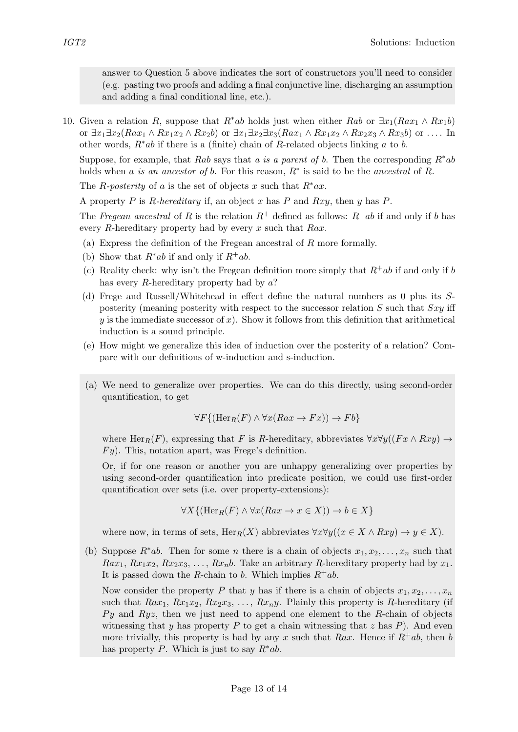answer to Question 5 above indicates the sort of constructors you'll need to consider (e.g. pasting two proofs and adding a final conjunctive line, discharging an assumption and adding a final conditional line, etc.).

10. Given a relation R, suppose that  $R^*ab$  holds just when either Rab or  $\exists x_1(Rax_1 \wedge Rx_1b)$ or  $\exists x_1 \exists x_2 (Rax_1 \wedge Rx_1x_2 \wedge Rx_2b)$  or  $\exists x_1 \exists x_2 \exists x_3 (Rax_1 \wedge Rx_1x_2 \wedge Rx_2x_3 \wedge Rx_3b)$  or .... In other words,  $R^*ab$  if there is a (finite) chain of R-related objects linking a to b.

Suppose, for example, that Rab says that a is a parent of b. Then the corresponding  $R^*ab$ holds when a is an ancestor of b. For this reason,  $R^*$  is said to be the ancestral of R.

The R-posterity of a is the set of objects x such that  $R^*ax$ .

A property P is R-hereditary if, an object x has P and Rxy, then y has P.

The Fregean ancestral of R is the relation  $R^+$  defined as follows:  $R^+ab$  if and only if b has every R-hereditary property had by every x such that  $Rax$ .

- (a) Express the definition of the Fregean ancestral of R more formally.
- (b) Show that  $R^*ab$  if and only if  $R^+ab$ .
- (c) Reality check: why isn't the Fregean definition more simply that  $R^+ab$  if and only if b has every R-hereditary property had by  $a$ ?
- (d) Frege and Russell/Whitehead in effect define the natural numbers as 0 plus its Sposterity (meaning posterity with respect to the successor relation  $S$  such that  $Sxy$  iff  $y$  is the immediate successor of x). Show it follows from this definition that arithmetical induction is a sound principle.
- (e) How might we generalize this idea of induction over the posterity of a relation? Compare with our definitions of w-induction and s-induction.
- (a) We need to generalize over properties. We can do this directly, using second-order quantification, to get

$$
\forall F\{(\text{Her}_R(F) \land \forall x(Rax \to Fx)) \to Fb\}
$$

where Her<sub>R</sub>(F), expressing that F is R-hereditary, abbreviates  $\forall x \forall y ((Fx \land Rxy) \rightarrow$  $F_y$ ). This, notation apart, was Frege's definition.

Or, if for one reason or another you are unhappy generalizing over properties by using second-order quantification into predicate position, we could use first-order quantification over sets (i.e. over property-extensions):

$$
\forall X \{ (\text{Her}_R(F) \land \forall x (Rax \to x \in X)) \to b \in X \}
$$

where now, in terms of sets,  $\text{Her}_R(X)$  abbreviates  $\forall x \forall y ((x \in X \land Rxy) \rightarrow y \in X)$ .

(b) Suppose  $R^*ab$ . Then for some *n* there is a chain of objects  $x_1, x_2, \ldots, x_n$  such that  $Rax_1, Rx_1x_2, Rx_2x_3, \ldots, Rx_nb.$  Take an arbitrary R-hereditary property had by  $x_1$ . It is passed down the R-chain to b. Which implies  $R^+ab$ .

Now consider the property P that y has if there is a chain of objects  $x_1, x_2, \ldots, x_n$ such that  $Rax_1, Rx_1x_2, Rx_2x_3, ..., Rx_ny$ . Plainly this property is R-hereditary (if  $Py$  and  $Ryz$ , then we just need to append one element to the R-chain of objects witnessing that y has property P to get a chain witnessing that z has  $P$ ). And even more trivially, this property is had by any x such that Rax. Hence if  $R^+ab$ , then b has property P. Which is just to say  $R^*ab$ .